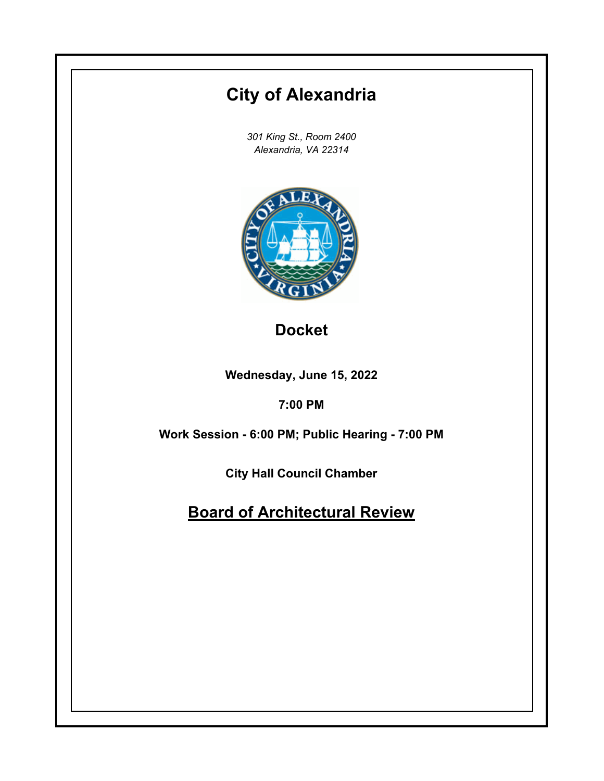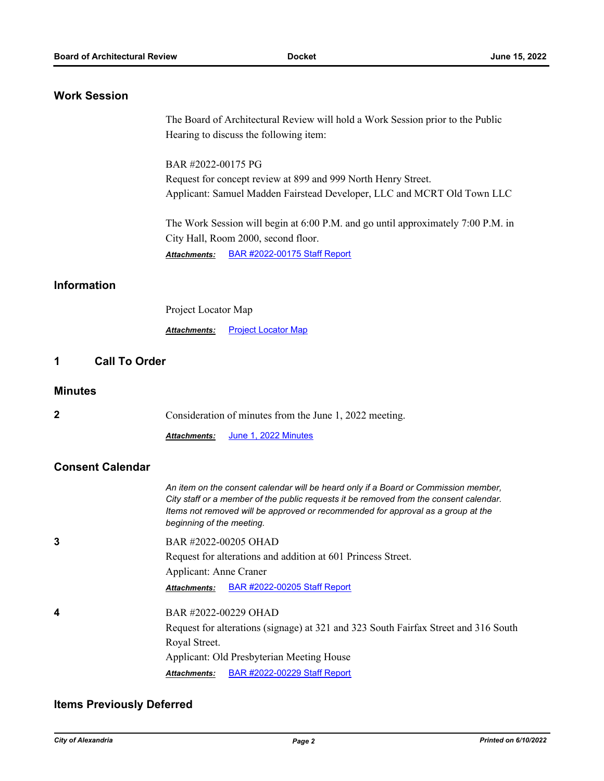## **Work Session**

The Board of Architectural Review will hold a Work Session prior to the Public Hearing to discuss the following item: BAR #2022-00175 PG Request for concept review at 899 and 999 North Henry Street. Applicant: Samuel Madden Fairstead Developer, LLC and MCRT Old Town LLC The Work Session will begin at 6:00 P.M. and go until approximately 7:00 P.M. in City Hall, Room 2000, second floor. *Attachments:* [BAR #2022-00175 Staff Report](http://alexandria.legistar.com/gateway.aspx?M=F&ID=536bb1e3-6fc0-4f8c-b7fb-ebe74dbab44a.pdf) **Information** Project Locator Map **Attachments: [Project Locator Map](http://alexandria.legistar.com/gateway.aspx?M=F&ID=883a80d0-b95e-4584-8bf8-380fb912c3b8.pdf) 1 Call To Order**

#### **Minutes**

| $\mathbf{2}$            | Consideration of minutes from the June 1, 2022 meeting.                                                                                                                                                                                                                                        |
|-------------------------|------------------------------------------------------------------------------------------------------------------------------------------------------------------------------------------------------------------------------------------------------------------------------------------------|
|                         | <u>June 1, 2022 Minutes</u><br><b>Attachments:</b>                                                                                                                                                                                                                                             |
| <b>Consent Calendar</b> |                                                                                                                                                                                                                                                                                                |
|                         | An item on the consent calendar will be heard only if a Board or Commission member,<br>City staff or a member of the public requests it be removed from the consent calendar.<br>Items not removed will be approved or recommended for approval as a group at the<br>beginning of the meeting. |
| 3                       | BAR #2022-00205 OHAD                                                                                                                                                                                                                                                                           |
|                         | Request for alterations and addition at 601 Princess Street.                                                                                                                                                                                                                                   |
|                         | Applicant: Anne Craner                                                                                                                                                                                                                                                                         |
|                         | BAR #2022-00205 Staff Report<br><b>Attachments:</b>                                                                                                                                                                                                                                            |
| 4                       | BAR #2022-00229 OHAD                                                                                                                                                                                                                                                                           |
|                         | Request for alterations (signage) at 321 and 323 South Fairfax Street and 316 South                                                                                                                                                                                                            |
|                         | Royal Street.                                                                                                                                                                                                                                                                                  |
|                         | Applicant: Old Presbyterian Meeting House                                                                                                                                                                                                                                                      |
|                         | Attachments: BAR #2022-00229 Staff Report                                                                                                                                                                                                                                                      |

### **Items Previously Deferred**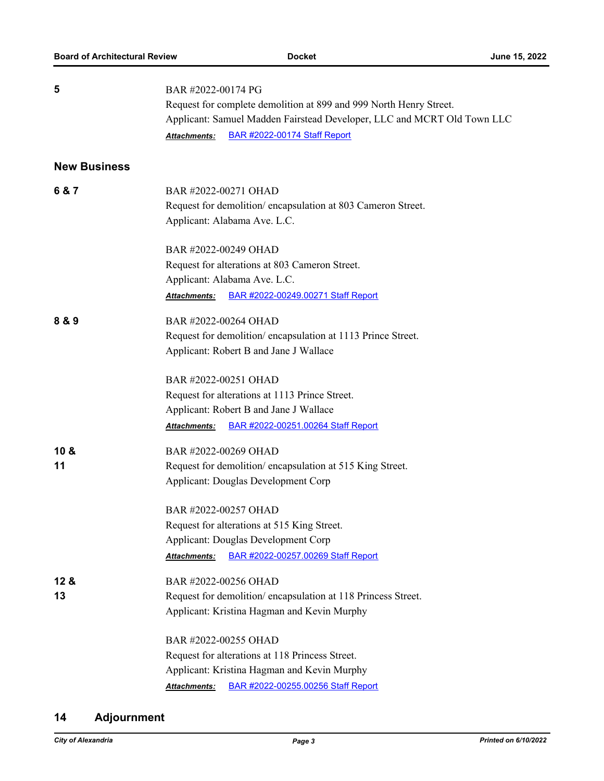| 5                   | BAR #2022-00174 PG                                                      |
|---------------------|-------------------------------------------------------------------------|
|                     | Request for complete demolition at 899 and 999 North Henry Street.      |
|                     | Applicant: Samuel Madden Fairstead Developer, LLC and MCRT Old Town LLC |
|                     | <b>BAR #2022-00174 Staff Report</b><br>Attachments:                     |
| <b>New Business</b> |                                                                         |
| 6 & 7               | BAR #2022-00271 OHAD                                                    |
|                     | Request for demolition/encapsulation at 803 Cameron Street.             |
|                     | Applicant: Alabama Ave. L.C.                                            |
|                     | BAR #2022-00249 OHAD                                                    |
|                     | Request for alterations at 803 Cameron Street.                          |
|                     | Applicant: Alabama Ave. L.C.                                            |
|                     | BAR #2022-00249.00271 Staff Report<br>Attachments:                      |
| 8 & 9               | BAR #2022-00264 OHAD                                                    |
|                     | Request for demolition/encapsulation at 1113 Prince Street.             |
|                     | Applicant: Robert B and Jane J Wallace                                  |
|                     | BAR #2022-00251 OHAD                                                    |
|                     | Request for alterations at 1113 Prince Street.                          |
|                     | Applicant: Robert B and Jane J Wallace                                  |
|                     | BAR #2022-00251.00264 Staff Report<br>Attachments:                      |
| 10 &                | BAR #2022-00269 OHAD                                                    |
| 11                  | Request for demolition/encapsulation at 515 King Street.                |
|                     | <b>Applicant: Douglas Development Corp</b>                              |
|                     | BAR #2022-00257 OHAD                                                    |
|                     | Request for alterations at 515 King Street.                             |
|                     | <b>Applicant: Douglas Development Corp</b>                              |
|                     | BAR #2022-00257.00269 Staff Report<br>Attachments:                      |
| 12 <sub>8</sub>     | BAR #2022-00256 OHAD                                                    |
| 13                  | Request for demolition/encapsulation at 118 Princess Street.            |
|                     | Applicant: Kristina Hagman and Kevin Murphy                             |
|                     | BAR #2022-00255 OHAD                                                    |
|                     | Request for alterations at 118 Princess Street.                         |
|                     | Applicant: Kristina Hagman and Kevin Murphy                             |
|                     | BAR #2022-00255.00256 Staff Report<br>Attachments:                      |

# **14 Adjournment**